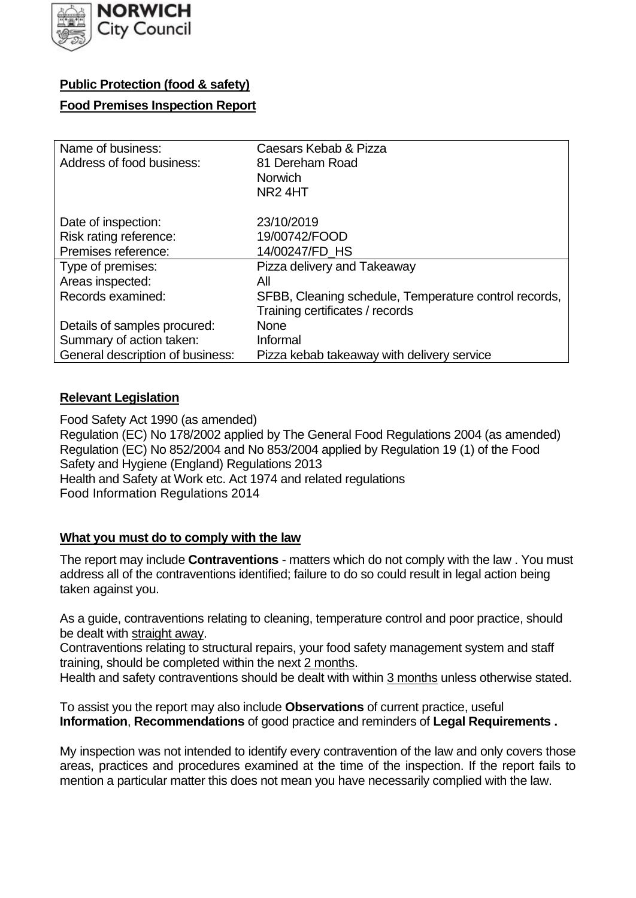

# **Public Protection (food & safety)**

## **Food Premises Inspection Report**

| Name of business:                | Caesars Kebab & Pizza                                 |
|----------------------------------|-------------------------------------------------------|
| Address of food business:        | 81 Dereham Road                                       |
|                                  | <b>Norwich</b>                                        |
|                                  | NR <sub>2</sub> 4HT                                   |
| Date of inspection:              | 23/10/2019                                            |
| Risk rating reference:           | 19/00742/FOOD                                         |
| Premises reference:              | 14/00247/FD HS                                        |
| Type of premises:                | Pizza delivery and Takeaway                           |
| Areas inspected:                 | All                                                   |
| Records examined:                | SFBB, Cleaning schedule, Temperature control records, |
|                                  | Training certificates / records                       |
| Details of samples procured:     | <b>None</b>                                           |
| Summary of action taken:         | Informal                                              |
| General description of business: | Pizza kebab takeaway with delivery service            |

## **Relevant Legislation**

 Food Safety Act 1990 (as amended) Regulation (EC) No 178/2002 applied by The General Food Regulations 2004 (as amended) Regulation (EC) No 852/2004 and No 853/2004 applied by Regulation 19 (1) of the Food Safety and Hygiene (England) Regulations 2013 Health and Safety at Work etc. Act 1974 and related regulations Food Information Regulations 2014

# **What you must do to comply with the law**

 The report may include **Contraventions** - matters which do not comply with the law . You must address all of the contraventions identified; failure to do so could result in legal action being taken against you.

 As a guide, contraventions relating to cleaning, temperature control and poor practice, should be dealt with straight away.

 Contraventions relating to structural repairs, your food safety management system and staff training, should be completed within the next 2 months.

Health and safety contraventions should be dealt with within 3 months unless otherwise stated.

 To assist you the report may also include **Observations** of current practice, useful **Information**, **Recommendations** of good practice and reminders of **Legal Requirements .** 

 My inspection was not intended to identify every contravention of the law and only covers those areas, practices and procedures examined at the time of the inspection. If the report fails to mention a particular matter this does not mean you have necessarily complied with the law.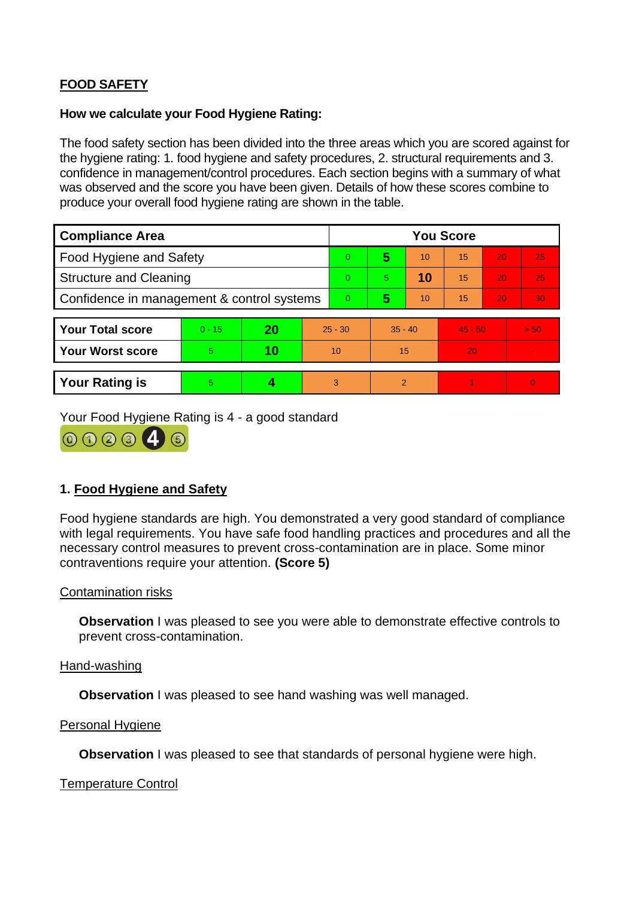# **FOOD SAFETY**

### **How we calculate your Food Hygiene Rating:**

 The food safety section has been divided into the three areas which you are scored against for the hygiene rating: 1. food hygiene and safety procedures, 2. structural requirements and 3. confidence in management/control procedures. Each section begins with a summary of what was observed and the score you have been given. Details of how these scores combine to produce your overall food hygiene rating are shown in the table.

| <b>Compliance Area</b>                     |          |    |           | <b>You Score</b> |                |    |           |    |                |  |  |
|--------------------------------------------|----------|----|-----------|------------------|----------------|----|-----------|----|----------------|--|--|
| Food Hygiene and Safety                    |          |    |           | $\overline{0}$   | 5              | 10 | 15        | 20 | 25             |  |  |
| <b>Structure and Cleaning</b>              |          |    | $\Omega$  | 5.               | 10             | 15 | 20        | 25 |                |  |  |
| Confidence in management & control systems |          |    | $\Omega$  | 5                | 10             | 15 | 20        | 30 |                |  |  |
|                                            |          |    |           |                  |                |    |           |    |                |  |  |
| <b>Your Total score</b>                    | $0 - 15$ | 20 | $25 - 30$ |                  | $35 - 40$      |    | $45 - 50$ |    | > 50           |  |  |
| <b>Your Worst score</b>                    | 5        | 10 | 10        |                  | 15             |    | 20        |    | $\blacksquare$ |  |  |
|                                            |          |    |           |                  |                |    |           |    |                |  |  |
| <b>Your Rating is</b>                      | 5        |    |           | 3                | $\overline{2}$ |    |           |    | $\overline{0}$ |  |  |

Your Food Hygiene Rating is 4 - a good standard



# **1. Food Hygiene and Safety**

 with legal requirements. You have safe food handling practices and procedures and all the Food hygiene standards are high. You demonstrated a very good standard of compliance necessary control measures to prevent cross-contamination are in place. Some minor contraventions require your attention. **(Score 5)** 

## Contamination risks

**Observation** I was pleased to see you were able to demonstrate effective controls to prevent cross-contamination.

#### Hand-washing

**Observation** I was pleased to see hand washing was well managed.

#### Personal Hygiene

**Observation** I was pleased to see that standards of personal hygiene were high.

#### Temperature Control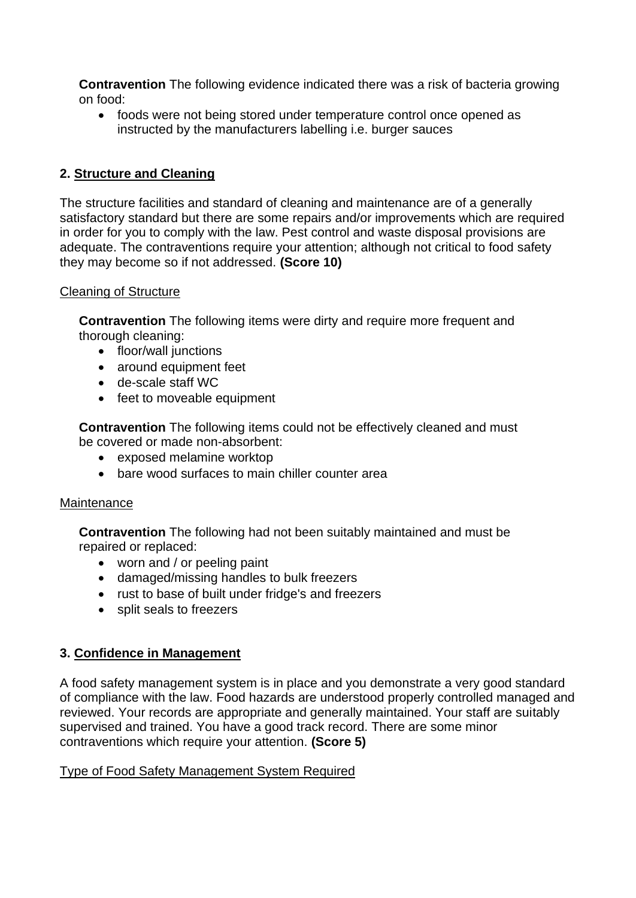**Contravention** The following evidence indicated there was a risk of bacteria growing on food:

• foods were not being stored under temperature control once opened as instructed by the manufacturers labelling i.e. burger sauces

# **2. Structure and Cleaning**

The structure facilities and standard of cleaning and maintenance are of a generally satisfactory standard but there are some repairs and/or improvements which are required in order for you to comply with the law. Pest control and waste disposal provisions are adequate. The contraventions require your attention; although not critical to food safety they may become so if not addressed. **(Score 10)** 

## Cleaning of Structure

**Contravention** The following items were dirty and require more frequent and thorough cleaning:

- floor/wall junctions
- around equipment feet
- de-scale staff WC
- feet to moveable equipment

 **Contravention** The following items could not be effectively cleaned and must be covered or made non-absorbent:

- exposed melamine worktop
- bare wood surfaces to main chiller counter area

## **Maintenance**

**Contravention** The following had not been suitably maintained and must be repaired or replaced:

- worn and / or peeling paint
- damaged/missing handles to bulk freezers
- rust to base of built under fridge's and freezers
- split seals to freezers

# **3. Confidence in Management**

 of compliance with the law. Food hazards are understood properly controlled managed and reviewed. Your records are appropriate and generally maintained. Your staff are suitably A food safety management system is in place and you demonstrate a very good standard supervised and trained. You have a good track record. There are some minor contraventions which require your attention. **(Score 5)** 

## Type of Food Safety Management System Required